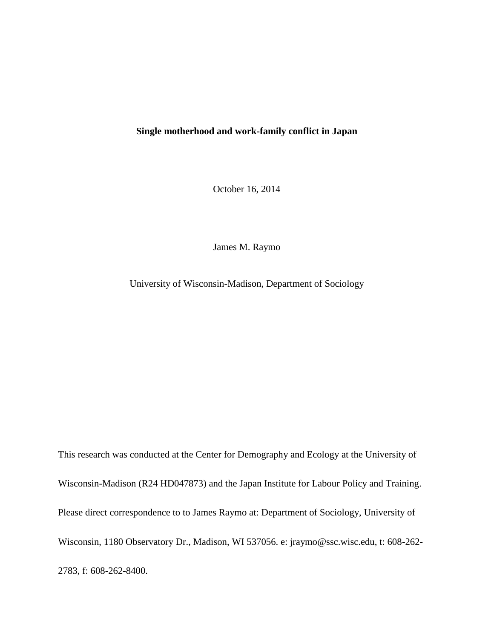# **Single motherhood and work-family conflict in Japan**

October 16, 2014

James M. Raymo

University of Wisconsin-Madison, Department of Sociology

This research was conducted at the Center for Demography and Ecology at the University of Wisconsin-Madison (R24 HD047873) and the Japan Institute for Labour Policy and Training. Please direct correspondence to to James Raymo at: Department of Sociology, University of Wisconsin, 1180 Observatory Dr., Madison, WI 537056. e: jraymo@ssc.wisc.edu, t: 608-262- 2783, f: 608-262-8400.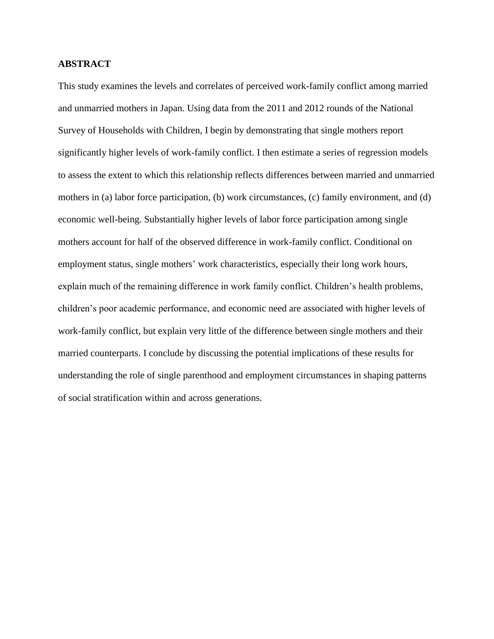# **ABSTRACT**

This study examines the levels and correlates of perceived work-family conflict among married and unmarried mothers in Japan. Using data from the 2011 and 2012 rounds of the National Survey of Households with Children, I begin by demonstrating that single mothers report significantly higher levels of work-family conflict. I then estimate a series of regression models to assess the extent to which this relationship reflects differences between married and unmarried mothers in (a) labor force participation, (b) work circumstances, (c) family environment, and (d) economic well-being. Substantially higher levels of labor force participation among single mothers account for half of the observed difference in work-family conflict. Conditional on employment status, single mothers' work characteristics, especially their long work hours, explain much of the remaining difference in work family conflict. Children's health problems, children's poor academic performance, and economic need are associated with higher levels of work-family conflict, but explain very little of the difference between single mothers and their married counterparts. I conclude by discussing the potential implications of these results for understanding the role of single parenthood and employment circumstances in shaping patterns of social stratification within and across generations.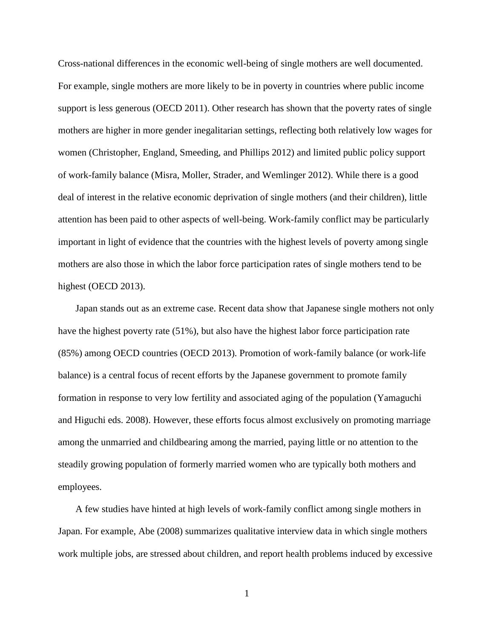Cross-national differences in the economic well-being of single mothers are well documented. For example, single mothers are more likely to be in poverty in countries where public income support is less generous (OECD 2011). Other research has shown that the poverty rates of single mothers are higher in more gender inegalitarian settings, reflecting both relatively low wages for women (Christopher, England, Smeeding, and Phillips 2012) and limited public policy support of work-family balance (Misra, Moller, Strader, and Wemlinger 2012). While there is a good deal of interest in the relative economic deprivation of single mothers (and their children), little attention has been paid to other aspects of well-being. Work-family conflict may be particularly important in light of evidence that the countries with the highest levels of poverty among single mothers are also those in which the labor force participation rates of single mothers tend to be highest (OECD 2013).

Japan stands out as an extreme case. Recent data show that Japanese single mothers not only have the highest poverty rate (51%), but also have the highest labor force participation rate (85%) among OECD countries (OECD 2013). Promotion of work-family balance (or work-life balance) is a central focus of recent efforts by the Japanese government to promote family formation in response to very low fertility and associated aging of the population (Yamaguchi and Higuchi eds. 2008). However, these efforts focus almost exclusively on promoting marriage among the unmarried and childbearing among the married, paying little or no attention to the steadily growing population of formerly married women who are typically both mothers and employees.

A few studies have hinted at high levels of work-family conflict among single mothers in Japan. For example, Abe (2008) summarizes qualitative interview data in which single mothers work multiple jobs, are stressed about children, and report health problems induced by excessive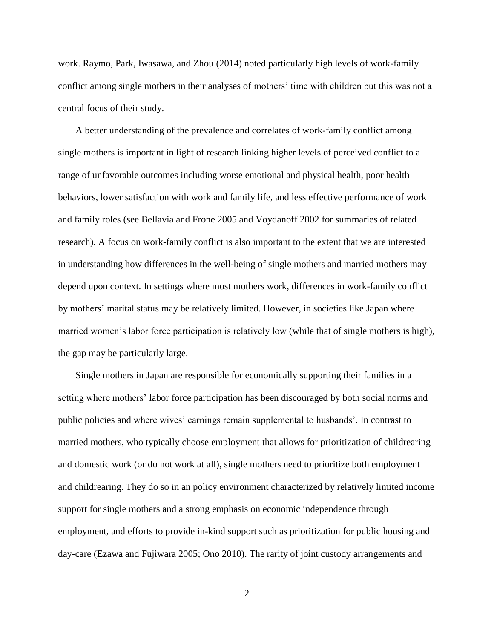work. Raymo, Park, Iwasawa, and Zhou (2014) noted particularly high levels of work-family conflict among single mothers in their analyses of mothers' time with children but this was not a central focus of their study.

A better understanding of the prevalence and correlates of work-family conflict among single mothers is important in light of research linking higher levels of perceived conflict to a range of unfavorable outcomes including worse emotional and physical health, poor health behaviors, lower satisfaction with work and family life, and less effective performance of work and family roles (see Bellavia and Frone 2005 and Voydanoff 2002 for summaries of related research). A focus on work-family conflict is also important to the extent that we are interested in understanding how differences in the well-being of single mothers and married mothers may depend upon context. In settings where most mothers work, differences in work-family conflict by mothers' marital status may be relatively limited. However, in societies like Japan where married women's labor force participation is relatively low (while that of single mothers is high), the gap may be particularly large.

Single mothers in Japan are responsible for economically supporting their families in a setting where mothers' labor force participation has been discouraged by both social norms and public policies and where wives' earnings remain supplemental to husbands'. In contrast to married mothers, who typically choose employment that allows for prioritization of childrearing and domestic work (or do not work at all), single mothers need to prioritize both employment and childrearing. They do so in an policy environment characterized by relatively limited income support for single mothers and a strong emphasis on economic independence through employment, and efforts to provide in-kind support such as prioritization for public housing and day-care (Ezawa and Fujiwara 2005; Ono 2010). The rarity of joint custody arrangements and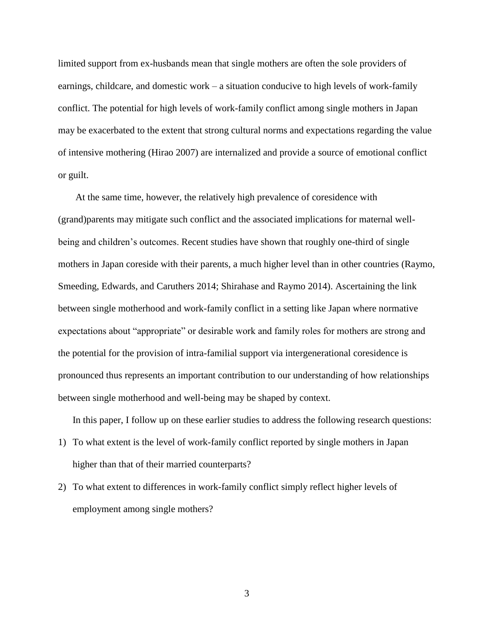limited support from ex-husbands mean that single mothers are often the sole providers of earnings, childcare, and domestic work – a situation conducive to high levels of work-family conflict. The potential for high levels of work-family conflict among single mothers in Japan may be exacerbated to the extent that strong cultural norms and expectations regarding the value of intensive mothering (Hirao 2007) are internalized and provide a source of emotional conflict or guilt.

At the same time, however, the relatively high prevalence of coresidence with (grand)parents may mitigate such conflict and the associated implications for maternal wellbeing and children's outcomes. Recent studies have shown that roughly one-third of single mothers in Japan coreside with their parents, a much higher level than in other countries (Raymo, Smeeding, Edwards, and Caruthers 2014; Shirahase and Raymo 2014). Ascertaining the link between single motherhood and work-family conflict in a setting like Japan where normative expectations about "appropriate" or desirable work and family roles for mothers are strong and the potential for the provision of intra-familial support via intergenerational coresidence is pronounced thus represents an important contribution to our understanding of how relationships between single motherhood and well-being may be shaped by context.

In this paper, I follow up on these earlier studies to address the following research questions:

- 1) To what extent is the level of work-family conflict reported by single mothers in Japan higher than that of their married counterparts?
- 2) To what extent to differences in work-family conflict simply reflect higher levels of employment among single mothers?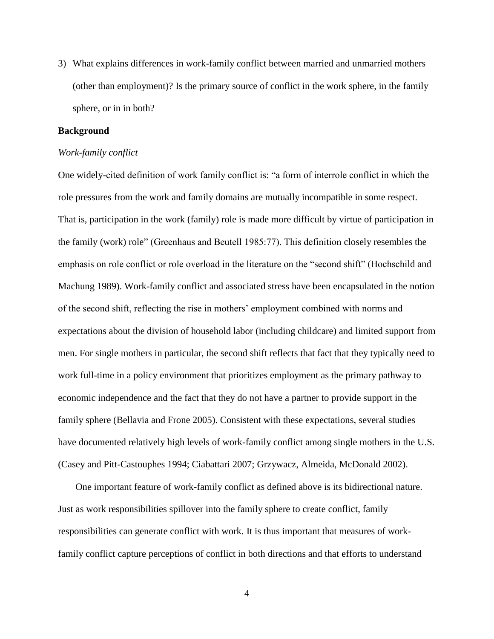3) What explains differences in work-family conflict between married and unmarried mothers (other than employment)? Is the primary source of conflict in the work sphere, in the family sphere, or in in both?

#### **Background**

#### *Work-family conflict*

One widely-cited definition of work family conflict is: "a form of interrole conflict in which the role pressures from the work and family domains are mutually incompatible in some respect. That is, participation in the work (family) role is made more difficult by virtue of participation in the family (work) role" (Greenhaus and Beutell 1985:77). This definition closely resembles the emphasis on role conflict or role overload in the literature on the "second shift" (Hochschild and Machung 1989). Work-family conflict and associated stress have been encapsulated in the notion of the second shift, reflecting the rise in mothers' employment combined with norms and expectations about the division of household labor (including childcare) and limited support from men. For single mothers in particular, the second shift reflects that fact that they typically need to work full-time in a policy environment that prioritizes employment as the primary pathway to economic independence and the fact that they do not have a partner to provide support in the family sphere (Bellavia and Frone 2005). Consistent with these expectations, several studies have documented relatively high levels of work-family conflict among single mothers in the U.S. (Casey and Pitt-Castouphes 1994; Ciabattari 2007; Grzywacz, Almeida, McDonald 2002).

One important feature of work-family conflict as defined above is its bidirectional nature. Just as work responsibilities spillover into the family sphere to create conflict, family responsibilities can generate conflict with work. It is thus important that measures of workfamily conflict capture perceptions of conflict in both directions and that efforts to understand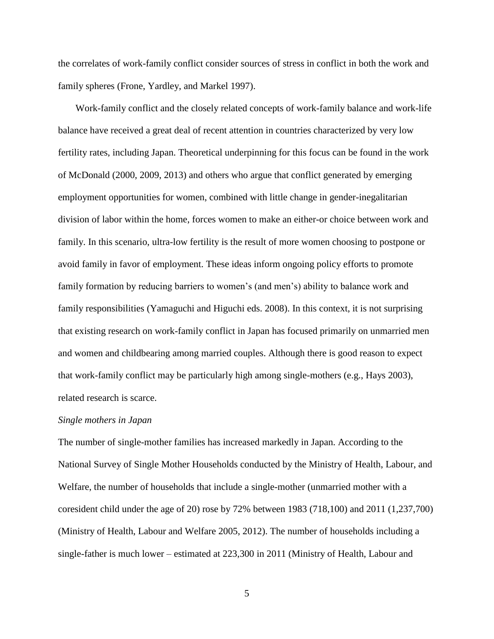the correlates of work-family conflict consider sources of stress in conflict in both the work and family spheres (Frone, Yardley, and Markel 1997).

Work-family conflict and the closely related concepts of work-family balance and work-life balance have received a great deal of recent attention in countries characterized by very low fertility rates, including Japan. Theoretical underpinning for this focus can be found in the work of McDonald (2000, 2009, 2013) and others who argue that conflict generated by emerging employment opportunities for women, combined with little change in gender-inegalitarian division of labor within the home, forces women to make an either-or choice between work and family. In this scenario, ultra-low fertility is the result of more women choosing to postpone or avoid family in favor of employment. These ideas inform ongoing policy efforts to promote family formation by reducing barriers to women's (and men's) ability to balance work and family responsibilities (Yamaguchi and Higuchi eds. 2008). In this context, it is not surprising that existing research on work-family conflict in Japan has focused primarily on unmarried men and women and childbearing among married couples. Although there is good reason to expect that work-family conflict may be particularly high among single-mothers (e.g., Hays 2003), related research is scarce.

#### *Single mothers in Japan*

The number of single-mother families has increased markedly in Japan. According to the National Survey of Single Mother Households conducted by the Ministry of Health, Labour, and Welfare, the number of households that include a single-mother (unmarried mother with a coresident child under the age of 20) rose by 72% between 1983 (718,100) and 2011 (1,237,700) (Ministry of Health, Labour and Welfare 2005, 2012). The number of households including a single-father is much lower – estimated at 223,300 in 2011 (Ministry of Health, Labour and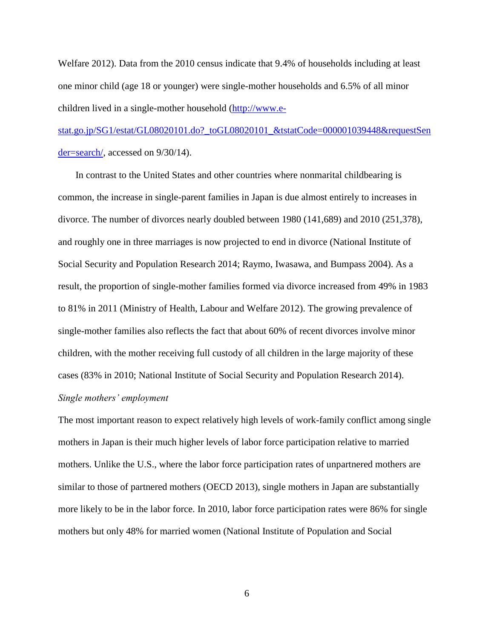Welfare 2012). Data from the 2010 census indicate that 9.4% of households including at least one minor child (age 18 or younger) were single-mother households and 6.5% of all minor children lived in a single-mother household [\(http://www.e-](http://www.e-stat.go.jp/)

[stat.go.jp/SG1/estat/GL08020101.do?\\_toGL08020101\\_&tstatCode=000001039448&requestSen](http://www.e-stat.go.jp/) [der=search/,](http://www.e-stat.go.jp/) accessed on 9/30/14).

In contrast to the United States and other countries where nonmarital childbearing is common, the increase in single-parent families in Japan is due almost entirely to increases in divorce. The number of divorces nearly doubled between 1980 (141,689) and 2010 (251,378), and roughly one in three marriages is now projected to end in divorce (National Institute of Social Security and Population Research 2014; Raymo, Iwasawa, and Bumpass 2004). As a result, the proportion of single-mother families formed via divorce increased from 49% in 1983 to 81% in 2011 (Ministry of Health, Labour and Welfare 2012). The growing prevalence of single-mother families also reflects the fact that about 60% of recent divorces involve minor children, with the mother receiving full custody of all children in the large majority of these cases (83% in 2010; National Institute of Social Security and Population Research 2014). *Single mothers' employment*

The most important reason to expect relatively high levels of work-family conflict among single mothers in Japan is their much higher levels of labor force participation relative to married mothers. Unlike the U.S., where the labor force participation rates of unpartnered mothers are similar to those of partnered mothers (OECD 2013), single mothers in Japan are substantially more likely to be in the labor force. In 2010, labor force participation rates were 86% for single mothers but only 48% for married women (National Institute of Population and Social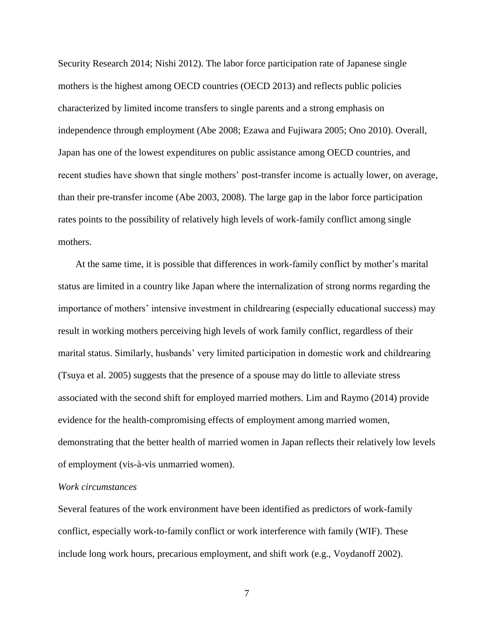Security Research 2014; Nishi 2012). The labor force participation rate of Japanese single mothers is the highest among OECD countries (OECD 2013) and reflects public policies characterized by limited income transfers to single parents and a strong emphasis on independence through employment (Abe 2008; Ezawa and Fujiwara 2005; Ono 2010). Overall, Japan has one of the lowest expenditures on public assistance among OECD countries, and recent studies have shown that single mothers' post-transfer income is actually lower, on average, than their pre-transfer income (Abe 2003, 2008). The large gap in the labor force participation rates points to the possibility of relatively high levels of work-family conflict among single mothers.

At the same time, it is possible that differences in work-family conflict by mother's marital status are limited in a country like Japan where the internalization of strong norms regarding the importance of mothers' intensive investment in childrearing (especially educational success) may result in working mothers perceiving high levels of work family conflict, regardless of their marital status. Similarly, husbands' very limited participation in domestic work and childrearing (Tsuya et al. 2005) suggests that the presence of a spouse may do little to alleviate stress associated with the second shift for employed married mothers. Lim and Raymo (2014) provide evidence for the health-compromising effects of employment among married women, demonstrating that the better health of married women in Japan reflects their relatively low levels of employment (vis-à-vis unmarried women).

## *Work circumstances*

Several features of the work environment have been identified as predictors of work-family conflict, especially work-to-family conflict or work interference with family (WIF). These include long work hours, precarious employment, and shift work (e.g., Voydanoff 2002).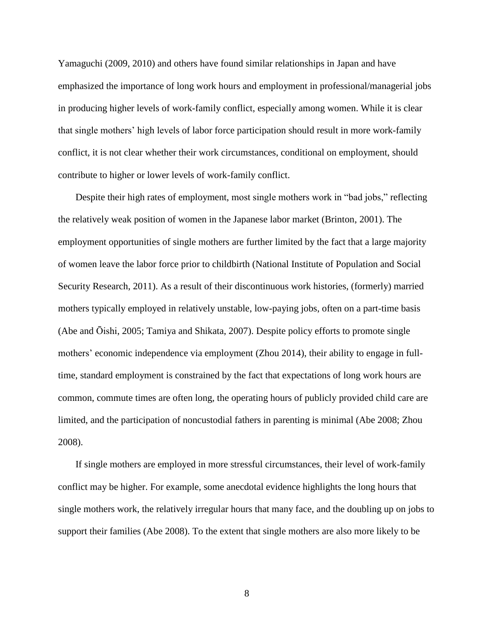Yamaguchi (2009, 2010) and others have found similar relationships in Japan and have emphasized the importance of long work hours and employment in professional/managerial jobs in producing higher levels of work-family conflict, especially among women. While it is clear that single mothers' high levels of labor force participation should result in more work-family conflict, it is not clear whether their work circumstances, conditional on employment, should contribute to higher or lower levels of work-family conflict.

Despite their high rates of employment, most single mothers work in "bad jobs," reflecting the relatively weak position of women in the Japanese labor market (Brinton, 2001). The employment opportunities of single mothers are further limited by the fact that a large majority of women leave the labor force prior to childbirth (National Institute of Population and Social Security Research, 2011). As a result of their discontinuous work histories, (formerly) married mothers typically employed in relatively unstable, low-paying jobs, often on a part-time basis (Abe and Ōishi, 2005; Tamiya and Shikata, 2007). Despite policy efforts to promote single mothers' economic independence via employment (Zhou 2014), their ability to engage in fulltime, standard employment is constrained by the fact that expectations of long work hours are common, commute times are often long, the operating hours of publicly provided child care are limited, and the participation of noncustodial fathers in parenting is minimal (Abe 2008; Zhou 2008).

If single mothers are employed in more stressful circumstances, their level of work-family conflict may be higher. For example, some anecdotal evidence highlights the long hours that single mothers work, the relatively irregular hours that many face, and the doubling up on jobs to support their families (Abe 2008). To the extent that single mothers are also more likely to be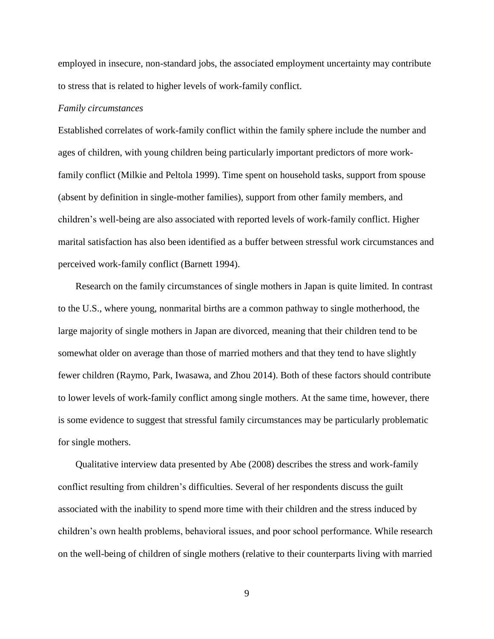employed in insecure, non-standard jobs, the associated employment uncertainty may contribute to stress that is related to higher levels of work-family conflict.

#### *Family circumstances*

Established correlates of work-family conflict within the family sphere include the number and ages of children, with young children being particularly important predictors of more workfamily conflict (Milkie and Peltola 1999). Time spent on household tasks, support from spouse (absent by definition in single-mother families), support from other family members, and children's well-being are also associated with reported levels of work-family conflict. Higher marital satisfaction has also been identified as a buffer between stressful work circumstances and perceived work-family conflict (Barnett 1994).

Research on the family circumstances of single mothers in Japan is quite limited. In contrast to the U.S., where young, nonmarital births are a common pathway to single motherhood, the large majority of single mothers in Japan are divorced, meaning that their children tend to be somewhat older on average than those of married mothers and that they tend to have slightly fewer children (Raymo, Park, Iwasawa, and Zhou 2014). Both of these factors should contribute to lower levels of work-family conflict among single mothers. At the same time, however, there is some evidence to suggest that stressful family circumstances may be particularly problematic for single mothers.

Qualitative interview data presented by Abe (2008) describes the stress and work-family conflict resulting from children's difficulties. Several of her respondents discuss the guilt associated with the inability to spend more time with their children and the stress induced by children's own health problems, behavioral issues, and poor school performance. While research on the well-being of children of single mothers (relative to their counterparts living with married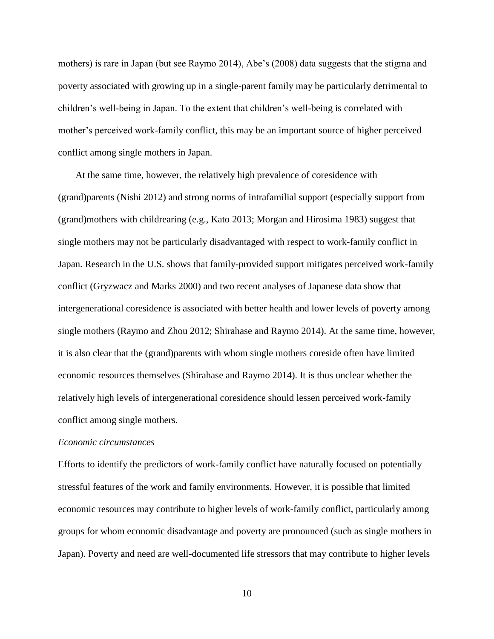mothers) is rare in Japan (but see Raymo 2014), Abe's (2008) data suggests that the stigma and poverty associated with growing up in a single-parent family may be particularly detrimental to children's well-being in Japan. To the extent that children's well-being is correlated with mother's perceived work-family conflict, this may be an important source of higher perceived conflict among single mothers in Japan.

At the same time, however, the relatively high prevalence of coresidence with (grand)parents (Nishi 2012) and strong norms of intrafamilial support (especially support from (grand)mothers with childrearing (e.g., Kato 2013; Morgan and Hirosima 1983) suggest that single mothers may not be particularly disadvantaged with respect to work-family conflict in Japan. Research in the U.S. shows that family-provided support mitigates perceived work-family conflict (Gryzwacz and Marks 2000) and two recent analyses of Japanese data show that intergenerational coresidence is associated with better health and lower levels of poverty among single mothers (Raymo and Zhou 2012; Shirahase and Raymo 2014). At the same time, however, it is also clear that the (grand)parents with whom single mothers coreside often have limited economic resources themselves (Shirahase and Raymo 2014). It is thus unclear whether the relatively high levels of intergenerational coresidence should lessen perceived work-family conflict among single mothers.

#### *Economic circumstances*

Efforts to identify the predictors of work-family conflict have naturally focused on potentially stressful features of the work and family environments. However, it is possible that limited economic resources may contribute to higher levels of work-family conflict, particularly among groups for whom economic disadvantage and poverty are pronounced (such as single mothers in Japan). Poverty and need are well-documented life stressors that may contribute to higher levels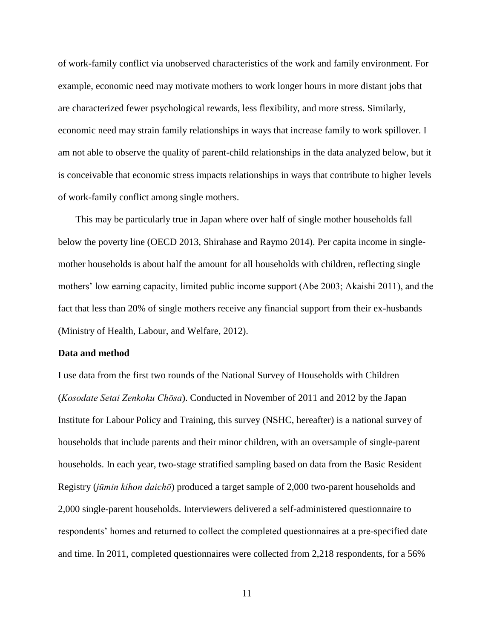of work-family conflict via unobserved characteristics of the work and family environment. For example, economic need may motivate mothers to work longer hours in more distant jobs that are characterized fewer psychological rewards, less flexibility, and more stress. Similarly, economic need may strain family relationships in ways that increase family to work spillover. I am not able to observe the quality of parent-child relationships in the data analyzed below, but it is conceivable that economic stress impacts relationships in ways that contribute to higher levels of work-family conflict among single mothers.

This may be particularly true in Japan where over half of single mother households fall below the poverty line (OECD 2013, Shirahase and Raymo 2014). Per capita income in singlemother households is about half the amount for all households with children, reflecting single mothers' low earning capacity, limited public income support (Abe 2003; Akaishi 2011), and the fact that less than 20% of single mothers receive any financial support from their ex-husbands (Ministry of Health, Labour, and Welfare, 2012).

### **Data and method**

I use data from the first two rounds of the National Survey of Households with Children (*Kosodate Setai Zenkoku Chōsa*). Conducted in November of 2011 and 2012 by the Japan Institute for Labour Policy and Training, this survey (NSHC, hereafter) is a national survey of households that include parents and their minor children, with an oversample of single-parent households. In each year, two-stage stratified sampling based on data from the Basic Resident Registry (*jūmin kihon daichō*) produced a target sample of 2,000 two-parent households and 2,000 single-parent households. Interviewers delivered a self-administered questionnaire to respondents' homes and returned to collect the completed questionnaires at a pre-specified date and time. In 2011, completed questionnaires were collected from 2,218 respondents, for a 56%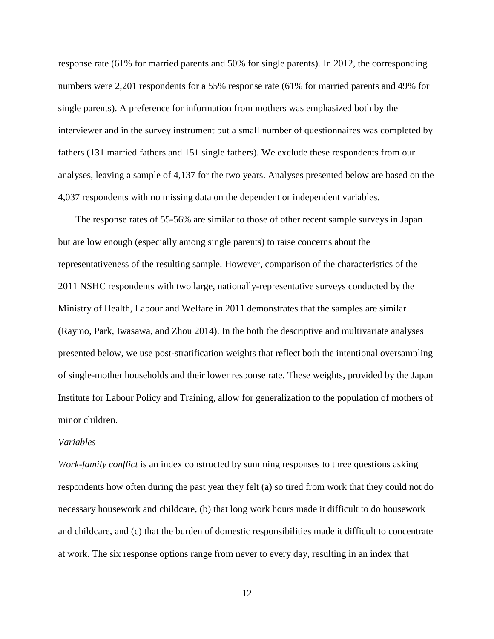response rate (61% for married parents and 50% for single parents). In 2012, the corresponding numbers were 2,201 respondents for a 55% response rate (61% for married parents and 49% for single parents). A preference for information from mothers was emphasized both by the interviewer and in the survey instrument but a small number of questionnaires was completed by fathers (131 married fathers and 151 single fathers). We exclude these respondents from our analyses, leaving a sample of 4,137 for the two years. Analyses presented below are based on the 4,037 respondents with no missing data on the dependent or independent variables.

The response rates of 55-56% are similar to those of other recent sample surveys in Japan but are low enough (especially among single parents) to raise concerns about the representativeness of the resulting sample. However, comparison of the characteristics of the 2011 NSHC respondents with two large, nationally-representative surveys conducted by the Ministry of Health, Labour and Welfare in 2011 demonstrates that the samples are similar (Raymo, Park, Iwasawa, and Zhou 2014). In the both the descriptive and multivariate analyses presented below, we use post-stratification weights that reflect both the intentional oversampling of single-mother households and their lower response rate. These weights, provided by the Japan Institute for Labour Policy and Training, allow for generalization to the population of mothers of minor children.

### *Variables*

*Work-family conflict* is an index constructed by summing responses to three questions asking respondents how often during the past year they felt (a) so tired from work that they could not do necessary housework and childcare, (b) that long work hours made it difficult to do housework and childcare, and (c) that the burden of domestic responsibilities made it difficult to concentrate at work. The six response options range from never to every day, resulting in an index that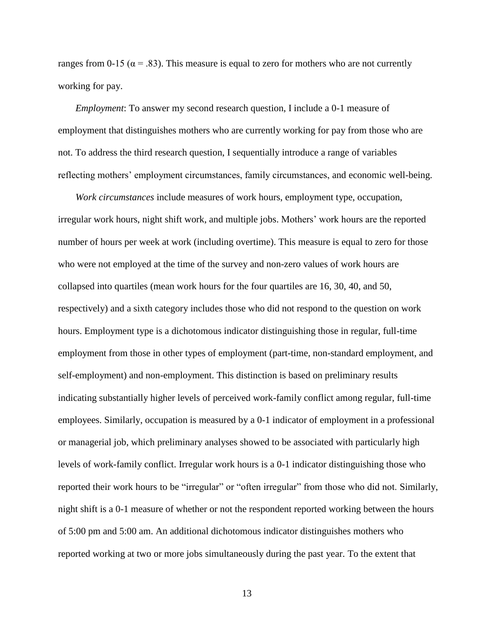ranges from 0-15 ( $\alpha$  = .83). This measure is equal to zero for mothers who are not currently working for pay.

*Employment*: To answer my second research question, I include a 0-1 measure of employment that distinguishes mothers who are currently working for pay from those who are not. To address the third research question, I sequentially introduce a range of variables reflecting mothers' employment circumstances, family circumstances, and economic well-being.

*Work circumstances* include measures of work hours, employment type, occupation, irregular work hours, night shift work, and multiple jobs. Mothers' work hours are the reported number of hours per week at work (including overtime). This measure is equal to zero for those who were not employed at the time of the survey and non-zero values of work hours are collapsed into quartiles (mean work hours for the four quartiles are 16, 30, 40, and 50, respectively) and a sixth category includes those who did not respond to the question on work hours. Employment type is a dichotomous indicator distinguishing those in regular, full-time employment from those in other types of employment (part-time, non-standard employment, and self-employment) and non-employment. This distinction is based on preliminary results indicating substantially higher levels of perceived work-family conflict among regular, full-time employees. Similarly, occupation is measured by a 0-1 indicator of employment in a professional or managerial job, which preliminary analyses showed to be associated with particularly high levels of work-family conflict. Irregular work hours is a 0-1 indicator distinguishing those who reported their work hours to be "irregular" or "often irregular" from those who did not. Similarly, night shift is a 0-1 measure of whether or not the respondent reported working between the hours of 5:00 pm and 5:00 am. An additional dichotomous indicator distinguishes mothers who reported working at two or more jobs simultaneously during the past year. To the extent that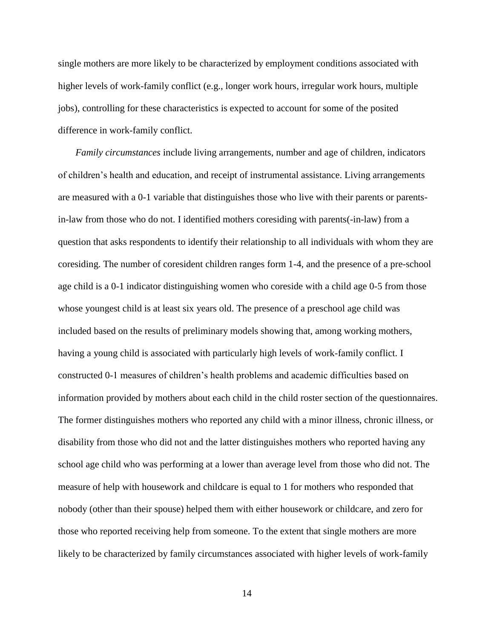single mothers are more likely to be characterized by employment conditions associated with higher levels of work-family conflict (e.g., longer work hours, irregular work hours, multiple jobs), controlling for these characteristics is expected to account for some of the posited difference in work-family conflict.

*Family circumstances* include living arrangements, number and age of children, indicators of children's health and education, and receipt of instrumental assistance. Living arrangements are measured with a 0-1 variable that distinguishes those who live with their parents or parentsin-law from those who do not. I identified mothers coresiding with parents(-in-law) from a question that asks respondents to identify their relationship to all individuals with whom they are coresiding. The number of coresident children ranges form 1-4, and the presence of a pre-school age child is a 0-1 indicator distinguishing women who coreside with a child age 0-5 from those whose youngest child is at least six years old. The presence of a preschool age child was included based on the results of preliminary models showing that, among working mothers, having a young child is associated with particularly high levels of work-family conflict. I constructed 0-1 measures of children's health problems and academic difficulties based on information provided by mothers about each child in the child roster section of the questionnaires. The former distinguishes mothers who reported any child with a minor illness, chronic illness, or disability from those who did not and the latter distinguishes mothers who reported having any school age child who was performing at a lower than average level from those who did not. The measure of help with housework and childcare is equal to 1 for mothers who responded that nobody (other than their spouse) helped them with either housework or childcare, and zero for those who reported receiving help from someone. To the extent that single mothers are more likely to be characterized by family circumstances associated with higher levels of work-family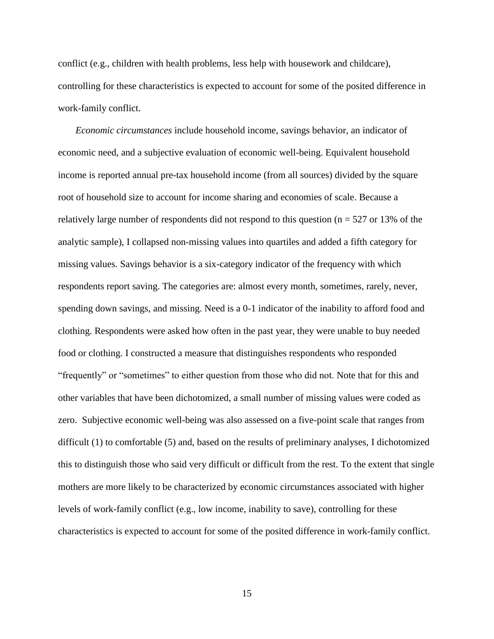conflict (e.g., children with health problems, less help with housework and childcare), controlling for these characteristics is expected to account for some of the posited difference in work-family conflict.

*Economic circumstances* include household income, savings behavior, an indicator of economic need, and a subjective evaluation of economic well-being. Equivalent household income is reported annual pre-tax household income (from all sources) divided by the square root of household size to account for income sharing and economies of scale. Because a relatively large number of respondents did not respond to this question ( $n = 527$  or 13% of the analytic sample), I collapsed non-missing values into quartiles and added a fifth category for missing values. Savings behavior is a six-category indicator of the frequency with which respondents report saving. The categories are: almost every month, sometimes, rarely, never, spending down savings, and missing. Need is a 0-1 indicator of the inability to afford food and clothing. Respondents were asked how often in the past year, they were unable to buy needed food or clothing. I constructed a measure that distinguishes respondents who responded "frequently" or "sometimes" to either question from those who did not. Note that for this and other variables that have been dichotomized, a small number of missing values were coded as zero. Subjective economic well-being was also assessed on a five-point scale that ranges from difficult (1) to comfortable (5) and, based on the results of preliminary analyses, I dichotomized this to distinguish those who said very difficult or difficult from the rest. To the extent that single mothers are more likely to be characterized by economic circumstances associated with higher levels of work-family conflict (e.g., low income, inability to save), controlling for these characteristics is expected to account for some of the posited difference in work-family conflict.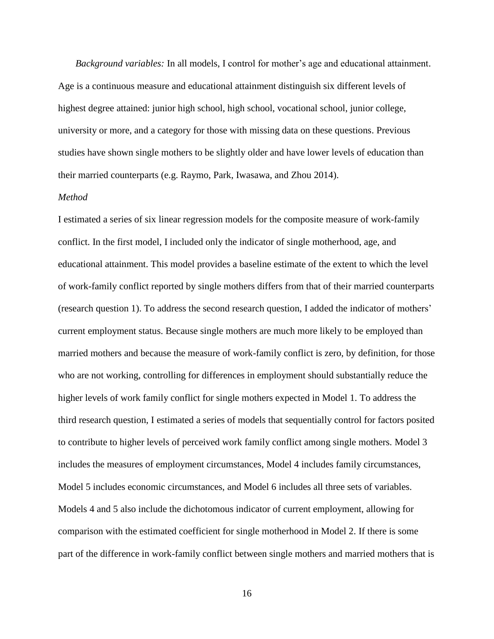*Background variables:* In all models, I control for mother's age and educational attainment. Age is a continuous measure and educational attainment distinguish six different levels of highest degree attained: junior high school, high school, vocational school, junior college, university or more, and a category for those with missing data on these questions. Previous studies have shown single mothers to be slightly older and have lower levels of education than their married counterparts (e.g. Raymo, Park, Iwasawa, and Zhou 2014).

# *Method*

I estimated a series of six linear regression models for the composite measure of work-family conflict. In the first model, I included only the indicator of single motherhood, age, and educational attainment. This model provides a baseline estimate of the extent to which the level of work-family conflict reported by single mothers differs from that of their married counterparts (research question 1). To address the second research question, I added the indicator of mothers' current employment status. Because single mothers are much more likely to be employed than married mothers and because the measure of work-family conflict is zero, by definition, for those who are not working, controlling for differences in employment should substantially reduce the higher levels of work family conflict for single mothers expected in Model 1. To address the third research question, I estimated a series of models that sequentially control for factors posited to contribute to higher levels of perceived work family conflict among single mothers. Model 3 includes the measures of employment circumstances, Model 4 includes family circumstances, Model 5 includes economic circumstances, and Model 6 includes all three sets of variables. Models 4 and 5 also include the dichotomous indicator of current employment, allowing for comparison with the estimated coefficient for single motherhood in Model 2. If there is some part of the difference in work-family conflict between single mothers and married mothers that is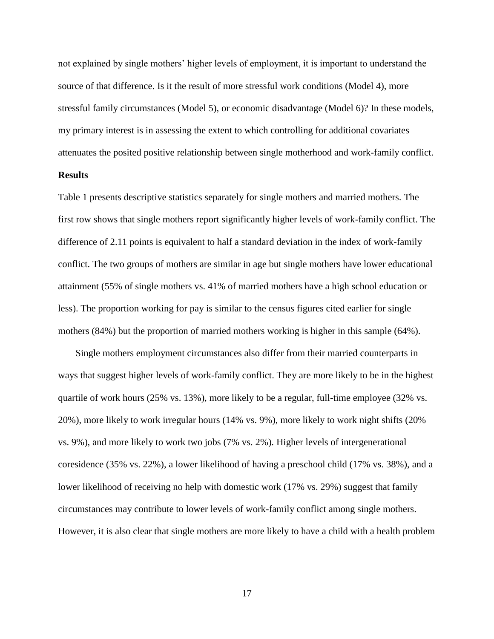not explained by single mothers' higher levels of employment, it is important to understand the source of that difference. Is it the result of more stressful work conditions (Model 4), more stressful family circumstances (Model 5), or economic disadvantage (Model 6)? In these models, my primary interest is in assessing the extent to which controlling for additional covariates attenuates the posited positive relationship between single motherhood and work-family conflict.

# **Results**

Table 1 presents descriptive statistics separately for single mothers and married mothers. The first row shows that single mothers report significantly higher levels of work-family conflict. The difference of 2.11 points is equivalent to half a standard deviation in the index of work-family conflict. The two groups of mothers are similar in age but single mothers have lower educational attainment (55% of single mothers vs. 41% of married mothers have a high school education or less). The proportion working for pay is similar to the census figures cited earlier for single mothers (84%) but the proportion of married mothers working is higher in this sample (64%).

Single mothers employment circumstances also differ from their married counterparts in ways that suggest higher levels of work-family conflict. They are more likely to be in the highest quartile of work hours (25% vs. 13%), more likely to be a regular, full-time employee (32% vs. 20%), more likely to work irregular hours (14% vs. 9%), more likely to work night shifts (20% vs. 9%), and more likely to work two jobs (7% vs. 2%). Higher levels of intergenerational coresidence (35% vs. 22%), a lower likelihood of having a preschool child (17% vs. 38%), and a lower likelihood of receiving no help with domestic work (17% vs. 29%) suggest that family circumstances may contribute to lower levels of work-family conflict among single mothers. However, it is also clear that single mothers are more likely to have a child with a health problem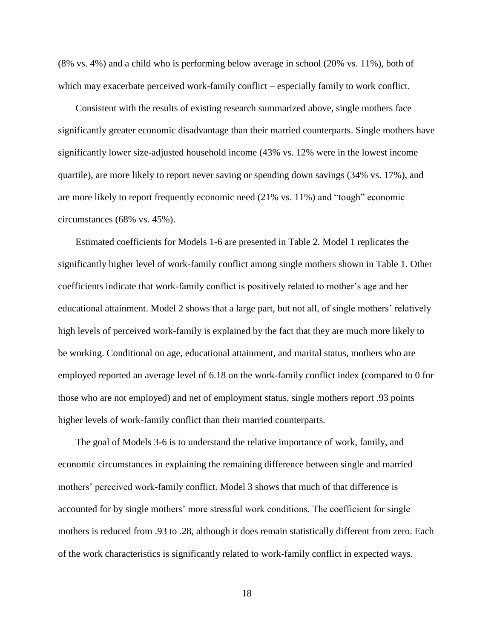(8% vs. 4%) and a child who is performing below average in school (20% vs. 11%), both of which may exacerbate perceived work-family conflict – especially family to work conflict.

Consistent with the results of existing research summarized above, single mothers face significantly greater economic disadvantage than their married counterparts. Single mothers have significantly lower size-adjusted household income (43% vs. 12% were in the lowest income quartile), are more likely to report never saving or spending down savings (34% vs. 17%), and are more likely to report frequently economic need (21% vs. 11%) and "tough" economic circumstances (68% vs. 45%).

Estimated coefficients for Models 1-6 are presented in Table 2. Model 1 replicates the significantly higher level of work-family conflict among single mothers shown in Table 1. Other coefficients indicate that work-family conflict is positively related to mother's age and her educational attainment. Model 2 shows that a large part, but not all, of single mothers' relatively high levels of perceived work-family is explained by the fact that they are much more likely to be working. Conditional on age, educational attainment, and marital status, mothers who are employed reported an average level of 6.18 on the work-family conflict index (compared to 0 for those who are not employed) and net of employment status, single mothers report .93 points higher levels of work-family conflict than their married counterparts.

The goal of Models 3-6 is to understand the relative importance of work, family, and economic circumstances in explaining the remaining difference between single and married mothers' perceived work-family conflict. Model 3 shows that much of that difference is accounted for by single mothers' more stressful work conditions. The coefficient for single mothers is reduced from .93 to .28, although it does remain statistically different from zero. Each of the work characteristics is significantly related to work-family conflict in expected ways.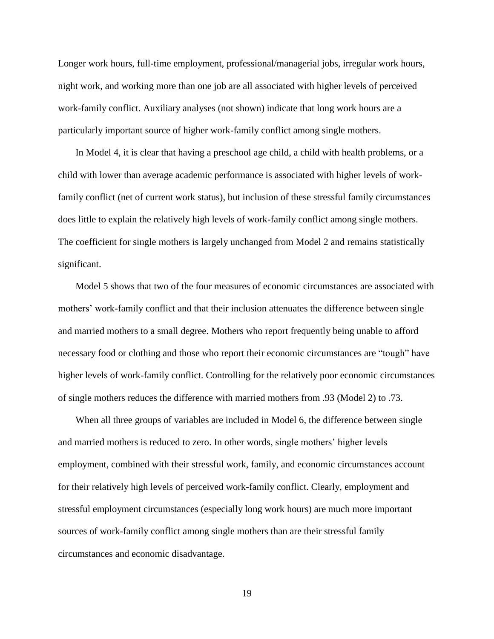Longer work hours, full-time employment, professional/managerial jobs, irregular work hours, night work, and working more than one job are all associated with higher levels of perceived work-family conflict. Auxiliary analyses (not shown) indicate that long work hours are a particularly important source of higher work-family conflict among single mothers.

In Model 4, it is clear that having a preschool age child, a child with health problems, or a child with lower than average academic performance is associated with higher levels of workfamily conflict (net of current work status), but inclusion of these stressful family circumstances does little to explain the relatively high levels of work-family conflict among single mothers. The coefficient for single mothers is largely unchanged from Model 2 and remains statistically significant.

Model 5 shows that two of the four measures of economic circumstances are associated with mothers' work-family conflict and that their inclusion attenuates the difference between single and married mothers to a small degree. Mothers who report frequently being unable to afford necessary food or clothing and those who report their economic circumstances are "tough" have higher levels of work-family conflict. Controlling for the relatively poor economic circumstances of single mothers reduces the difference with married mothers from .93 (Model 2) to .73.

When all three groups of variables are included in Model 6, the difference between single and married mothers is reduced to zero. In other words, single mothers' higher levels employment, combined with their stressful work, family, and economic circumstances account for their relatively high levels of perceived work-family conflict. Clearly, employment and stressful employment circumstances (especially long work hours) are much more important sources of work-family conflict among single mothers than are their stressful family circumstances and economic disadvantage.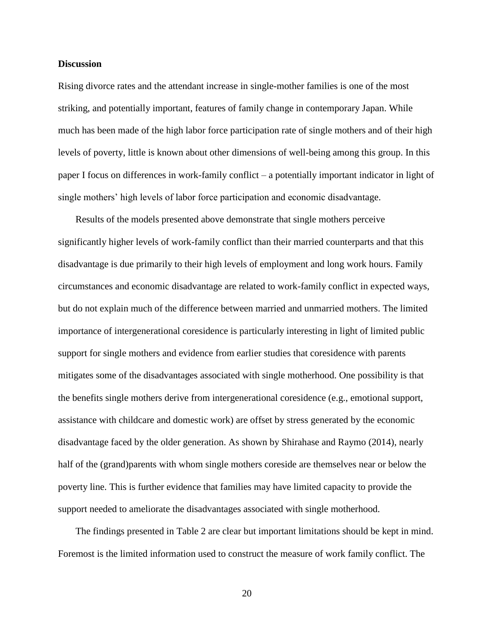### **Discussion**

Rising divorce rates and the attendant increase in single-mother families is one of the most striking, and potentially important, features of family change in contemporary Japan. While much has been made of the high labor force participation rate of single mothers and of their high levels of poverty, little is known about other dimensions of well-being among this group. In this paper I focus on differences in work-family conflict – a potentially important indicator in light of single mothers' high levels of labor force participation and economic disadvantage.

Results of the models presented above demonstrate that single mothers perceive significantly higher levels of work-family conflict than their married counterparts and that this disadvantage is due primarily to their high levels of employment and long work hours. Family circumstances and economic disadvantage are related to work-family conflict in expected ways, but do not explain much of the difference between married and unmarried mothers. The limited importance of intergenerational coresidence is particularly interesting in light of limited public support for single mothers and evidence from earlier studies that coresidence with parents mitigates some of the disadvantages associated with single motherhood. One possibility is that the benefits single mothers derive from intergenerational coresidence (e.g., emotional support, assistance with childcare and domestic work) are offset by stress generated by the economic disadvantage faced by the older generation. As shown by Shirahase and Raymo (2014), nearly half of the (grand)parents with whom single mothers coreside are themselves near or below the poverty line. This is further evidence that families may have limited capacity to provide the support needed to ameliorate the disadvantages associated with single motherhood.

The findings presented in Table 2 are clear but important limitations should be kept in mind. Foremost is the limited information used to construct the measure of work family conflict. The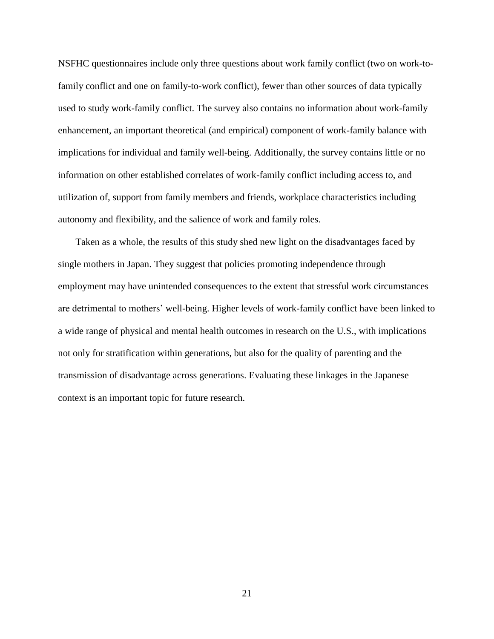NSFHC questionnaires include only three questions about work family conflict (two on work-tofamily conflict and one on family-to-work conflict), fewer than other sources of data typically used to study work-family conflict. The survey also contains no information about work-family enhancement, an important theoretical (and empirical) component of work-family balance with implications for individual and family well-being. Additionally, the survey contains little or no information on other established correlates of work-family conflict including access to, and utilization of, support from family members and friends, workplace characteristics including autonomy and flexibility, and the salience of work and family roles.

Taken as a whole, the results of this study shed new light on the disadvantages faced by single mothers in Japan. They suggest that policies promoting independence through employment may have unintended consequences to the extent that stressful work circumstances are detrimental to mothers' well-being. Higher levels of work-family conflict have been linked to a wide range of physical and mental health outcomes in research on the U.S., with implications not only for stratification within generations, but also for the quality of parenting and the transmission of disadvantage across generations. Evaluating these linkages in the Japanese context is an important topic for future research.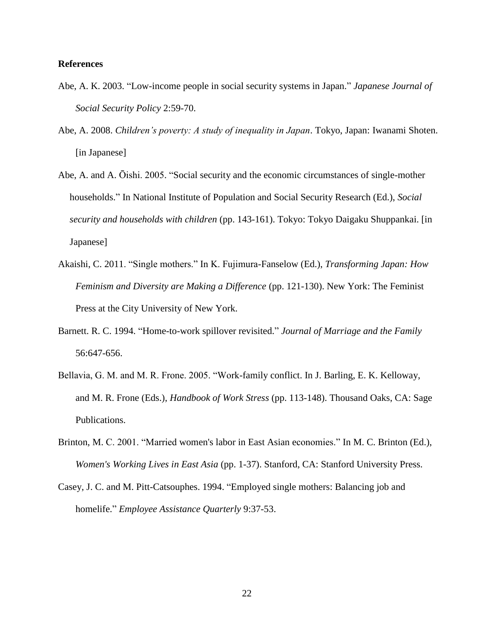## **References**

- Abe, A. K. 2003. "Low-income people in social security systems in Japan." *Japanese Journal of Social Security Policy* 2:59-70.
- Abe, A. 2008. *Children's poverty: A study of inequality in Japan*. Tokyo, Japan: Iwanami Shoten. [in Japanese]
- Abe, A. and A. Ōishi. 2005. "Social security and the economic circumstances of single-mother households." In National Institute of Population and Social Security Research (Ed.), *Social security and households with children* (pp. 143-161). Tokyo: Tokyo Daigaku Shuppankai. [in Japanese]
- Akaishi, C. 2011. "Single mothers." In K. Fujimura-Fanselow (Ed.), *Transforming Japan: How Feminism and Diversity are Making a Difference* (pp. 121-130). New York: The Feminist Press at the City University of New York.
- Barnett. R. C. 1994. "Home-to-work spillover revisited." *Journal of Marriage and the Family* 56:647-656.
- Bellavia, G. M. and M. R. Frone. 2005. "Work-family conflict. In J. Barling, E. K. Kelloway, and M. R. Frone (Eds.), *Handbook of Work Stress* (pp. 113-148). Thousand Oaks, CA: Sage Publications.
- Brinton, M. C. 2001. "Married women's labor in East Asian economies." In M. C. Brinton (Ed.), *Women's Working Lives in East Asia* (pp. 1-37). Stanford, CA: Stanford University Press.
- Casey, J. C. and M. Pitt-Catsouphes. 1994. "Employed single mothers: Balancing job and homelife." *Employee Assistance Quarterly* 9:37-53.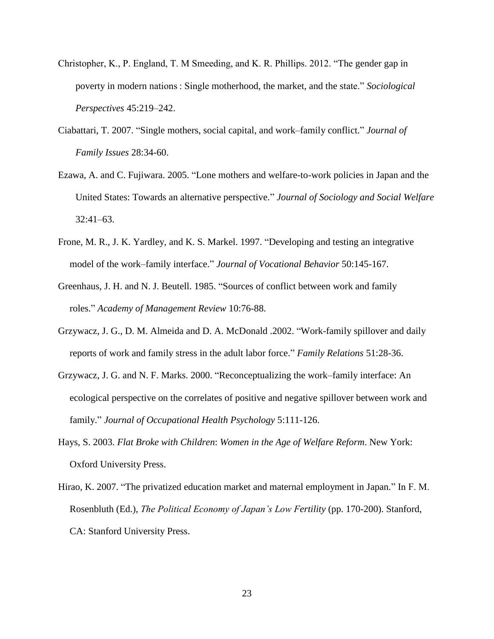- Christopher, K., P. England, T. M Smeeding, and K. R. Phillips. 2012. "The gender gap in poverty in modern nations : Single motherhood, the market, and the state." *Sociological Perspectives* 45:219–242.
- Ciabattari, T. 2007. "Single mothers, social capital, and work–family conflict." *Journal of Family Issues* 28:34-60.
- Ezawa, A. and C. Fujiwara. 2005. "Lone mothers and welfare-to-work policies in Japan and the United States: Towards an alternative perspective." *Journal of Sociology and Social Welfare*  32:41–63.
- Frone, M. R., J. K. Yardley, and K. S. Markel. 1997. "Developing and testing an integrative model of the work–family interface." *Journal of Vocational Behavior* 50:145-167.
- Greenhaus, J. H. and N. J. Beutell. 1985. "Sources of conflict between work and family roles." *Academy of Management Review* 10:76-88.
- Grzywacz, J. G., D. M. Almeida and D. A. McDonald .2002. "Work-family spillover and daily reports of work and family stress in the adult labor force." *Family Relations* 51:28-36.
- Grzywacz, J. G. and N. F. Marks. 2000. "Reconceptualizing the work–family interface: An ecological perspective on the correlates of positive and negative spillover between work and family." *Journal of Occupational Health Psychology* 5:111-126.
- Hays, S. 2003. *Flat Broke with Children*: *Women in the Age of Welfare Reform*. New York: Oxford University Press.
- Hirao, K. 2007. "The privatized education market and maternal employment in Japan." In F. M. Rosenbluth (Ed.), *The Political Economy of Japan's Low Fertility* (pp. 170-200). Stanford, CA: Stanford University Press.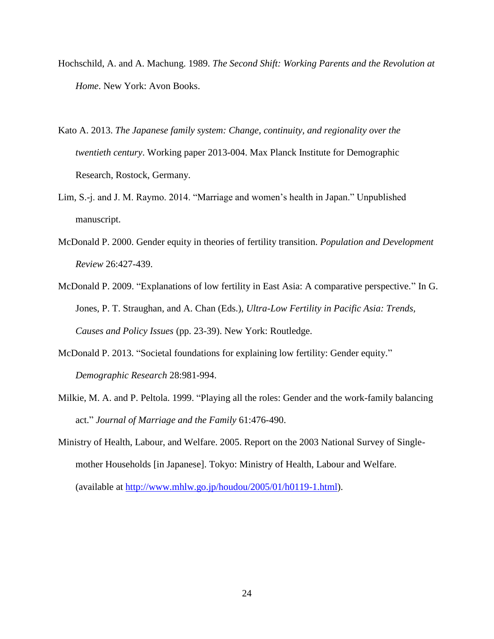- Hochschild, A. and A. Machung. 1989. *The Second Shift: Working Parents and the Revolution at Home*. New York: Avon Books.
- Kato A. 2013. *The Japanese family system: Change, continuity, and regionality over the twentieth century*. Working paper 2013-004. Max Planck Institute for Demographic Research, Rostock, Germany.
- Lim, S.-j. and J. M. Raymo. 2014. "Marriage and women's health in Japan." Unpublished manuscript.
- McDonald P. 2000. Gender equity in theories of fertility transition. *Population and Development Review* 26:427-439.
- McDonald P. 2009. "Explanations of low fertility in East Asia: A comparative perspective." In G. Jones, P. T. Straughan, and A. Chan (Eds.), *Ultra-Low Fertility in Pacific Asia: Trends, Causes and Policy Issues* (pp. 23-39). New York: Routledge.
- McDonald P. 2013. "Societal foundations for explaining low fertility: Gender equity." *Demographic Research* 28:981-994.
- Milkie, M. A. and P. Peltola. 1999. "Playing all the roles: Gender and the work-family balancing act." *Journal of Marriage and the Family* 61:476-490.
- Ministry of Health, Labour, and Welfare. 2005. Report on the 2003 National Survey of Singlemother Households [in Japanese]. Tokyo: Ministry of Health, Labour and Welfare. (available at [http://www.mhlw.go.jp/houdou/2005/01/h0119-1.html\)](http://www.mhlw.go.jp/houdou/2005/01/h0119-1.html).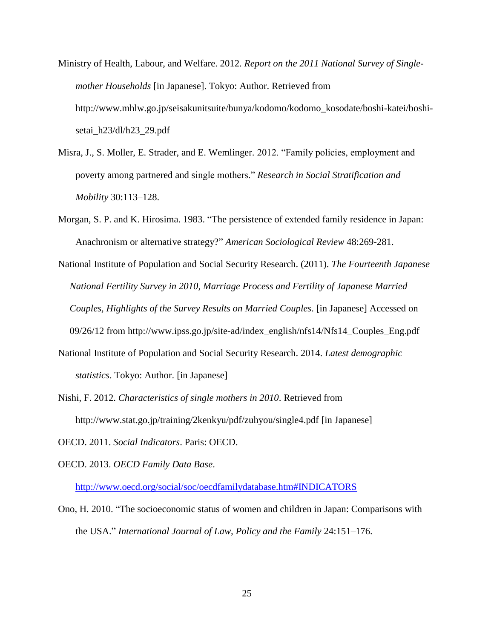- Ministry of Health, Labour, and Welfare. 2012. *Report on the 2011 National Survey of Singlemother Households* [in Japanese]. Tokyo: Author. Retrieved from http://www.mhlw.go.jp/seisakunitsuite/bunya/kodomo/kodomo\_kosodate/boshi-katei/boshisetai\_h23/dl/h23\_29.pdf
- Misra, J., S. Moller, E. Strader, and E. Wemlinger. 2012. "Family policies, employment and poverty among partnered and single mothers." *Research in Social Stratification and Mobility* 30:113–128.
- Morgan, S. P. and K. Hirosima. 1983. "The persistence of extended family residence in Japan: Anachronism or alternative strategy?" *American Sociological Review* 48:269-281.
- National Institute of Population and Social Security Research. (2011). *The Fourteenth Japanese National Fertility Survey in 2010, Marriage Process and Fertility of Japanese Married Couples, Highlights of the Survey Results on Married Couples*. [in Japanese] Accessed on 09/26/12 from http://www.ipss.go.jp/site-ad/index\_english/nfs14/Nfs14\_Couples\_Eng.pdf
- National Institute of Population and Social Security Research. 2014. *Latest demographic statistics*. Tokyo: Author. [in Japanese]
- Nishi, F. 2012. *Characteristics of single mothers in 2010*. Retrieved from http://www.stat.go.jp/training/2kenkyu/pdf/zuhyou/single4.pdf [in Japanese]
- OECD. 2011. *Social Indicators*. Paris: OECD.
- OECD. 2013. *OECD Family Data Base*.

<http://www.oecd.org/social/soc/oecdfamilydatabase.htm#INDICATORS>

Ono, H. 2010. "The socioeconomic status of women and children in Japan: Comparisons with the USA." *International Journal of Law, Policy and the Family* 24:151–176.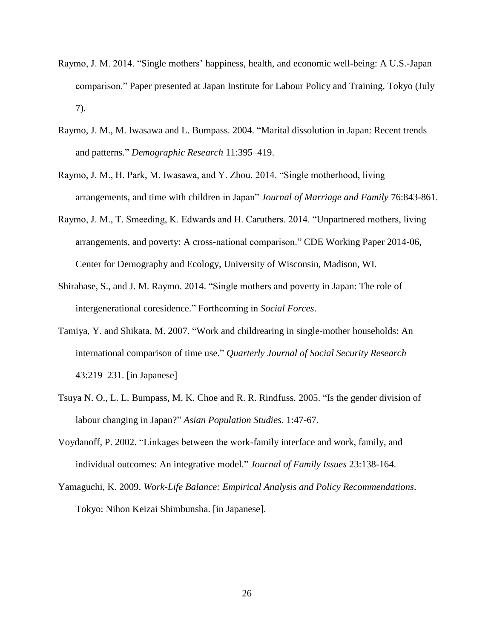- Raymo, J. M. 2014. "Single mothers' happiness, health, and economic well-being: A U.S.-Japan comparison." Paper presented at Japan Institute for Labour Policy and Training, Tokyo (July 7).
- Raymo, J. M., M. Iwasawa and L. Bumpass. 2004. "Marital dissolution in Japan: Recent trends and patterns." *Demographic Research* 11:395–419.
- Raymo, J. M., H. Park, M. Iwasawa, and Y. Zhou. 2014. "Single motherhood, living arrangements, and time with children in Japan" *Journal of Marriage and Family* 76:843-861.
- Raymo, J. M., T. Smeeding, K. Edwards and H. Caruthers. 2014. "Unpartnered mothers, living arrangements, and poverty: A cross-national comparison." CDE Working Paper 2014-06, Center for Demography and Ecology, University of Wisconsin, Madison, WI.
- Shirahase, S., and J. M. Raymo. 2014. "Single mothers and poverty in Japan: The role of intergenerational coresidence." Forthcoming in *Social Forces*.
- Tamiya, Y. and Shikata, M. 2007. "Work and childrearing in single-mother households: An international comparison of time use." *Quarterly Journal of Social Security Research*  43:219–231. [in Japanese]
- Tsuya N. O., L. L. Bumpass, M. K. Choe and R. R. Rindfuss. 2005. "Is the gender division of labour changing in Japan?" *Asian Population Studies*. 1:47-67.
- Voydanoff, P. 2002. "Linkages between the work-family interface and work, family, and individual outcomes: An integrative model." *Journal of Family Issues* 23:138-164.
- Yamaguchi, K. 2009. *Work-Life Balance: Empirical Analysis and Policy Recommendations*. Tokyo: Nihon Keizai Shimbunsha. [in Japanese].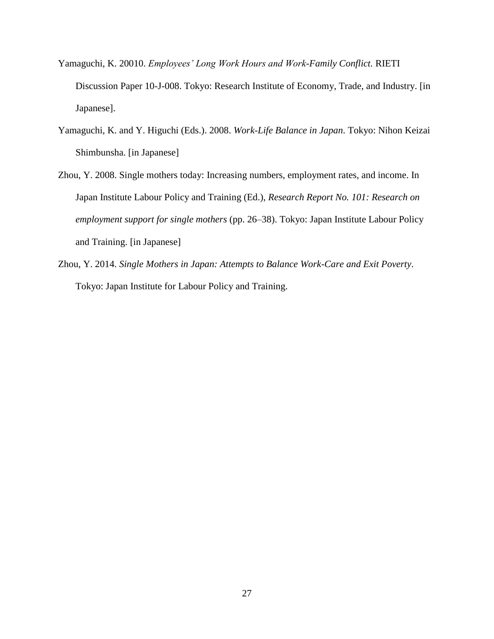- Yamaguchi, K. 20010. *Employees' Long Work Hours and Work-Family Conflict.* RIETI Discussion Paper 10-J-008. Tokyo: Research Institute of Economy, Trade, and Industry. [in Japanese].
- Yamaguchi, K. and Y. Higuchi (Eds.). 2008. *Work-Life Balance in Japan*. Tokyo: Nihon Keizai Shimbunsha. [in Japanese]
- Zhou, Y. 2008. Single mothers today: Increasing numbers, employment rates, and income. In Japan Institute Labour Policy and Training (Ed.), *Research Report No. 101: Research on employment support for single mothers* (pp. 26–38). Tokyo: Japan Institute Labour Policy and Training. [in Japanese]
- Zhou, Y. 2014. *Single Mothers in Japan: Attempts to Balance Work-Care and Exit Poverty*. Tokyo: Japan Institute for Labour Policy and Training.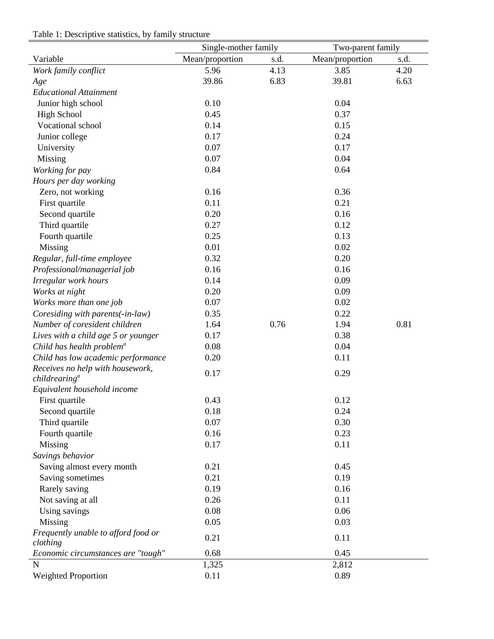|                                       | Single-mother family |      | Two-parent family |      |  |
|---------------------------------------|----------------------|------|-------------------|------|--|
| Variable                              | Mean/proportion      | s.d. | Mean/proportion   | s.d. |  |
| Work family conflict                  | 5.96                 | 4.13 | 3.85              | 4.20 |  |
| Age                                   | 39.86                | 6.83 | 39.81             | 6.63 |  |
| <b>Educational Attainment</b>         |                      |      |                   |      |  |
| Junior high school                    | 0.10                 |      | 0.04              |      |  |
| <b>High School</b>                    | 0.45                 |      | 0.37              |      |  |
| Vocational school                     | 0.14                 |      | 0.15              |      |  |
| Junior college                        | 0.17                 |      | 0.24              |      |  |
| University                            | 0.07                 |      | 0.17              |      |  |
| Missing                               | 0.07                 |      | 0.04              |      |  |
| Working for pay                       | 0.84                 |      | 0.64              |      |  |
| Hours per day working                 |                      |      |                   |      |  |
| Zero, not working                     | 0.16                 |      | 0.36              |      |  |
| First quartile                        | 0.11                 |      | 0.21              |      |  |
| Second quartile                       | 0.20                 |      | 0.16              |      |  |
| Third quartile                        | 0.27                 |      | 0.12              |      |  |
| Fourth quartile                       | 0.25                 |      | 0.13              |      |  |
| Missing                               | 0.01                 |      | 0.02              |      |  |
| Regular, full-time employee           | 0.32                 |      | 0.20              |      |  |
| Professional/managerial job           | 0.16                 |      | 0.16              |      |  |
| Irregular work hours                  | 0.14                 |      | 0.09              |      |  |
| Works at night                        | 0.20                 |      | 0.09              |      |  |
| Works more than one job               | 0.07                 |      | 0.02              |      |  |
| Coresiding with parents(-in-law)      | 0.35                 |      | 0.22              |      |  |
| Number of coresident children         | 1.64                 | 0.76 | 1.94              | 0.81 |  |
| Lives with a child age 5 or younger   | 0.17                 |      | 0.38              |      |  |
| Child has health problem <sup>a</sup> | 0.08                 |      | 0.04              |      |  |
| Child has low academic performance    | 0.20                 |      | 0.11              |      |  |
| Receives no help with housework,      |                      |      |                   |      |  |
| childrearing <sup>a</sup>             | 0.17                 |      | 0.29              |      |  |
| Equivalent household income           |                      |      |                   |      |  |
| First quartile                        | 0.43                 |      | 0.12              |      |  |
| Second quartile                       | 0.18                 |      | 0.24              |      |  |
| Third quartile                        | 0.07                 |      | 0.30              |      |  |
| Fourth quartile                       | 0.16                 |      | 0.23              |      |  |
| Missing                               | 0.17                 |      | 0.11              |      |  |
| Savings behavior                      |                      |      |                   |      |  |
| Saving almost every month             | 0.21                 |      | 0.45              |      |  |
| Saving sometimes                      | 0.21                 |      | 0.19              |      |  |
| Rarely saving                         | 0.19                 |      | 0.16              |      |  |
| Not saving at all                     | 0.26                 |      | 0.11              |      |  |
| Using savings                         | 0.08                 |      | 0.06              |      |  |
| Missing                               | 0.05                 |      | 0.03              |      |  |
| Frequently unable to afford food or   | 0.21                 |      | 0.11              |      |  |
| clothing                              |                      |      |                   |      |  |
| Economic circumstances are "tough"    | 0.68                 |      | 0.45              |      |  |
| N                                     | 1,325                |      | 2,812             |      |  |
| <b>Weighted Proportion</b>            | 0.11                 |      | 0.89              |      |  |